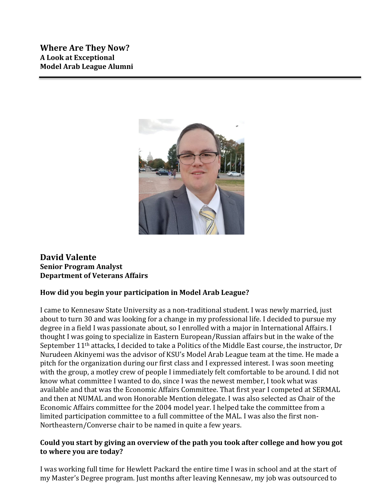

# **David Valente Senior Program Analyst Department of Veterans Affairs**

# **How did you begin your participation in Model Arab League?**

I came to Kennesaw State University as a non-traditional student. I was newly married, just about to turn 30 and was looking for a change in my professional life. I decided to pursue my degree in a field I was passionate about, so I enrolled with a major in International Affairs. I thought I was going to specialize in Eastern European/Russian affairs but in the wake of the September 11th attacks, I decided to take a Politics of the Middle East course, the instructor, Dr Nurudeen Akinyemi was the advisor of KSU's Model Arab League team at the time. He made a pitch for the organization during our first class and I expressed interest. I was soon meeting with the group, a motley crew of people I immediately felt comfortable to be around. I did not know what committee I wanted to do, since I was the newest member, I took what was available and that was the Economic Affairs Committee. That first year I competed at SERMAL and then at NUMAL and won Honorable Mention delegate. I was also selected as Chair of the Economic Affairs committee for the 2004 model year. I helped take the committee from a limited participation committee to a full committee of the MAL. I was also the first non-Northeastern/Converse chair to be named in quite a few years.

#### **Could you start by giving an overview of the path you took after college and how you got to where you are today?**

I was working full time for Hewlett Packard the entire time I was in school and at the start of my Master's Degree program. Just months after leaving Kennesaw, my job was outsourced to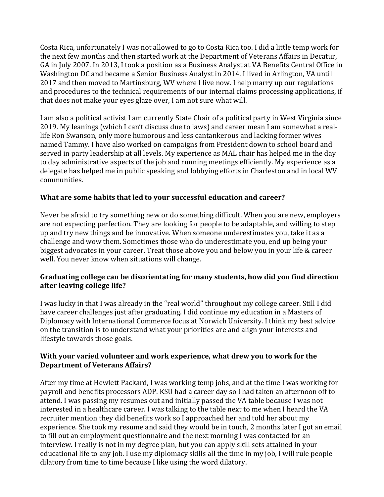Costa Rica, unfortunately I was not allowed to go to Costa Rica too. I did a little temp work for the next few months and then started work at the Department of Veterans Affairs in Decatur, GA in July 2007. In 2013, I took a position as a Business Analyst at VA Benefits Central Office in Washington DC and became a Senior Business Analyst in 2014. I lived in Arlington, VA until 2017 and then moved to Martinsburg, WV where I live now. I help marry up our regulations and procedures to the technical requirements of our internal claims processing applications, if that does not make your eyes glaze over, I am not sure what will.

I am also a political activist I am currently State Chair of a political party in West Virginia since 2019. My leanings (which I can't discuss due to laws) and career mean I am somewhat a reallife Ron Swanson, only more humorous and less cantankerous and lacking former wives named Tammy. I have also worked on campaigns from President down to school board and served in party leadership at all levels. My experience as MAL chair has helped me in the day to day administrative aspects of the job and running meetings efficiently. My experience as a delegate has helped me in public speaking and lobbying efforts in Charleston and in local WV communities.

## **What are some habits that led to your successful education and career?**

Never be afraid to try something new or do something difficult. When you are new, employers are not expecting perfection. They are looking for people to be adaptable, and willing to step up and try new things and be innovative. When someone underestimates you, take it as a challenge and wow them. Sometimes those who do underestimate you, end up being your biggest advocates in your career. Treat those above you and below you in your life & career well. You never know when situations will change.

#### **Graduating college can be disorientating for many students, how did you find direction after leaving college life?**

I was lucky in that I was already in the "real world" throughout my college career. Still I did have career challenges just after graduating. I did continue my education in a Masters of Diplomacy with International Commerce focus at Norwich University. I think my best advice on the transition is to understand what your priorities are and align your interests and lifestyle towards those goals.

## **With your varied volunteer and work experience, what drew you to work for the Department of Veterans Affairs?**

After my time at Hewlett Packard, I was working temp jobs, and at the time I was working for payroll and benefits processors ADP. KSU had a career day so I had taken an afternoon off to attend. I was passing my resumes out and initially passed the VA table because I was not interested in a healthcare career. I was talking to the table next to me when I heard the VA recruiter mention they did benefits work so I approached her and told her about my experience. She took my resume and said they would be in touch, 2 months later I got an email to fill out an employment questionnaire and the next morning I was contacted for an interview. I really is not in my degree plan, but you can apply skill sets attained in your educational life to any job. I use my diplomacy skills all the time in my job, I will rule people dilatory from time to time because I like using the word dilatory.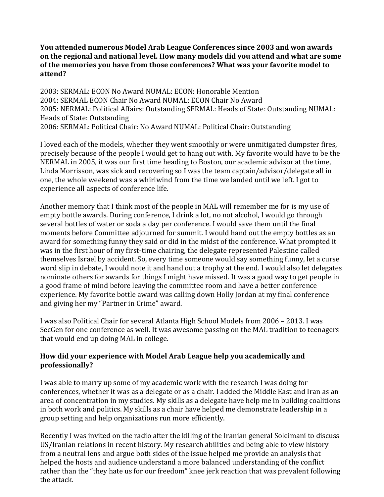**You attended numerous Model Arab League Conferences since 2003 and won awards on the regional and national level. How many models did you attend and what are some of the memories you have from those conferences? What was your favorite model to attend?**

2003: SERMAL: ECON No Award NUMAL: ECON: Honorable Mention 2004: SERMAL ECON Chair No Award NUMAL: ECON Chair No Award 2005: NERMAL: Political Affairs: Outstanding SERMAL: Heads of State: Outstanding NUMAL: Heads of State: Outstanding 2006: SERMAL: Political Chair: No Award NUMAL: Political Chair: Outstanding

I loved each of the models, whether they went smoothly or were unmitigated dumpster fires, precisely because of the people I would get to hang out with. My favorite would have to be the NERMAL in 2005, it was our first time heading to Boston, our academic advisor at the time, Linda Morrisson, was sick and recovering so I was the team captain/advisor/delegate all in one, the whole weekend was a whirlwind from the time we landed until we left. I got to experience all aspects of conference life.

Another memory that I think most of the people in MAL will remember me for is my use of empty bottle awards. During conference, I drink a lot, no not alcohol, I would go through several bottles of water or soda a day per conference. I would save them until the final moments before Committee adjourned for summit. I would hand out the empty bottles as an award for something funny they said or did in the midst of the conference. What prompted it was in the first hour of my first-time chairing, the delegate represented Palestine called themselves Israel by accident. So, every time someone would say something funny, let a curse word slip in debate, I would note it and hand out a trophy at the end. I would also let delegates nominate others for awards for things I might have missed. It was a good way to get people in a good frame of mind before leaving the committee room and have a better conference experience. My favorite bottle award was calling down Holly Jordan at my final conference and giving her my "Partner in Crime" award.

I was also Political Chair for several Atlanta High School Models from 2006 – 2013. I was SecGen for one conference as well. It was awesome passing on the MAL tradition to teenagers that would end up doing MAL in college.

## **How did your experience with Model Arab League help you academically and professionally?**

I was able to marry up some of my academic work with the research I was doing for conferences, whether it was as a delegate or as a chair. I added the Middle East and Iran as an area of concentration in my studies. My skills as a delegate have help me in building coalitions in both work and politics. My skills as a chair have helped me demonstrate leadership in a group setting and help organizations run more efficiently.

Recently I was invited on the radio after the killing of the Iranian general Soleimani to discuss US/Iranian relations in recent history. My research abilities and being able to view history from a neutral lens and argue both sides of the issue helped me provide an analysis that helped the hosts and audience understand a more balanced understanding of the conflict rather than the "they hate us for our freedom" knee jerk reaction that was prevalent following the attack.